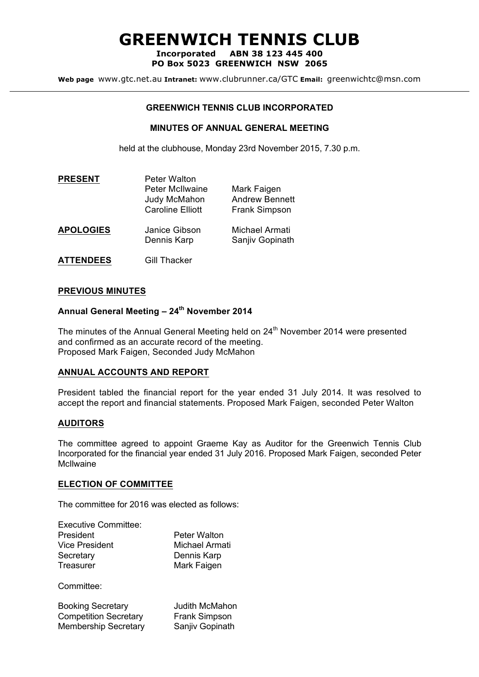# **GREENWICH TENNIS CLUB**

**Incorporated ABN 38 123 445 400 PO Box 5023 GREENWICH NSW 2065**

**Web page** www.gtc.net.au **Intranet:** www.clubrunner.ca/GTC **Email:** greenwichtc@msn.com

#### **GREENWICH TENNIS CLUB INCORPORATED**

#### **MINUTES OF ANNUAL GENERAL MEETING**

held at the clubhouse, Monday 23rd November 2015, 7.30 p.m.

| <b>PRESENT</b>   | <b>Peter Walton</b>                                               |                                                              |
|------------------|-------------------------------------------------------------------|--------------------------------------------------------------|
|                  | <b>Peter McIlwaine</b><br>Judy McMahon<br><b>Caroline Elliott</b> | Mark Faigen<br><b>Andrew Bennett</b><br><b>Frank Simpson</b> |
| <b>APOLOGIES</b> | Janice Gibson<br>Dennis Karp                                      | Michael Armati<br>Sanjiv Gopinath                            |

**ATTENDEES** Gill Thacker

#### **PREVIOUS MINUTES**

### **Annual General Meeting – 24th November 2014**

The minutes of the Annual General Meeting held on 24<sup>th</sup> November 2014 were presented and confirmed as an accurate record of the meeting. Proposed Mark Faigen, Seconded Judy McMahon

#### **ANNUAL ACCOUNTS AND REPORT**

President tabled the financial report for the year ended 31 July 2014. It was resolved to accept the report and financial statements. Proposed Mark Faigen, seconded Peter Walton

#### **AUDITORS**

The committee agreed to appoint Graeme Kay as Auditor for the Greenwich Tennis Club Incorporated for the financial year ended 31 July 2016. Proposed Mark Faigen, seconded Peter McIlwaine

#### **ELECTION OF COMMITTEE**

The committee for 2016 was elected as follows:

| <b>Executive Committee:</b> |                     |
|-----------------------------|---------------------|
| President                   | <b>Peter Walton</b> |
| <b>Vice President</b>       | Michael Armati      |
| Secretary                   | Dennis Karp         |
| Treasurer                   | Mark Faigen         |
|                             |                     |

Committee:

| <b>Booking Secretary</b>     | <b>Judith McMahon</b> |
|------------------------------|-----------------------|
| <b>Competition Secretary</b> | Frank Simpson         |
| <b>Membership Secretary</b>  | Sanjiv Gopinath       |